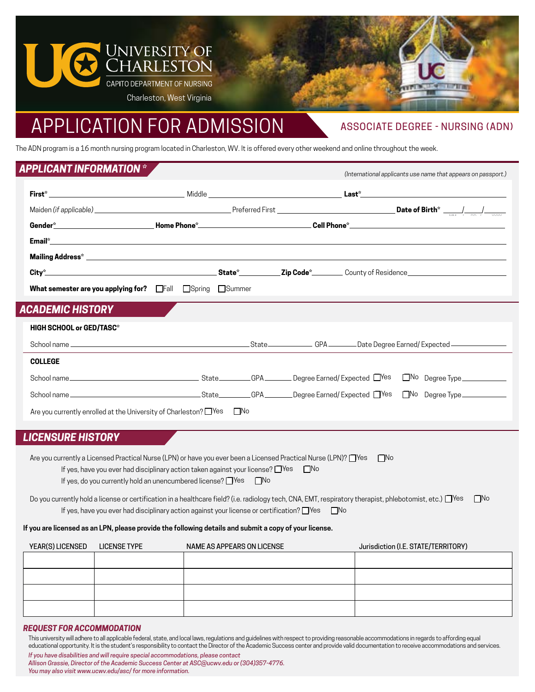

# APPLICATION FOR ADMISSION

## ASSOCIATE DEGREE - NURSING (ADN)

*(International applicants use name that appears on passport.)*

The ADN program is a 16 month nursing program located in Charleston, WV. It is offered every other weekend and online throughout the week.

## *APPLICANT INFORMATION \**

| What semester are you applying for? Fall Spring Summer |  |  |  |
|--------------------------------------------------------|--|--|--|
| ACADEMIC HISTORY                                       |  |  |  |
| <b>HIGH SCHOOL or GED/TASC*</b>                        |  |  |  |
|                                                        |  |  |  |
| <b>COLLEGE</b>                                         |  |  |  |
|                                                        |  |  |  |
|                                                        |  |  |  |

Are you currently enrolled at the University of Charleston? ■ Yes □ No

## *LICENSURE HISTORY*

| Are you currently a Licensed Practical Nurse (LPN) or have you ever been a Licensed Practical Nurse (LPN)? Thes |  |  |  |  |
|-----------------------------------------------------------------------------------------------------------------|--|--|--|--|
| <b>⊟No</b><br>If yes, have you ever had disciplinary action taken against your license? $\Box$ Yes              |  |  |  |  |
| If yes, do you currently hold an unencumbered license? $\Box$ Yes<br>$\Box$ No                                  |  |  |  |  |

Do you currently hold a license or certification in a healthcare field? (i.e. radiology tech, CNA, EMT, respiratory therapist, phlebotomist, etc.)  $\Box$  Yes  $\Box$  No If yes, have you ever had disciplinary action against your license or certification? □Yes □No

#### **If you are licensed as an LPN, please provide the following details and submit a copy of your license.**

| YEAR(S) LICENSED LICENSE TYPE | NAME AS APPEARS ON LICENSE | Jurisdiction (I.E. STATE/TERRITORY) |
|-------------------------------|----------------------------|-------------------------------------|
|                               |                            |                                     |
|                               |                            |                                     |
|                               |                            |                                     |
|                               |                            |                                     |

#### *REQUEST FOR ACCOMMODATION*

This university will adhere to all applicable federal, state, and local laws, regulations and guidelines with respect to providing reasonable accommodations in regards to affording equal educational opportunity. It is the student's responsibility to contact the Director of the Academic Success center and provide valid documentation to receive accommodations and services.

| If you have disabilities and will require special accommodations, please contact           |
|--------------------------------------------------------------------------------------------|
| Allison Grassie, Director of the Academic Success Center at ASC@ucwv.edu or (304)357-4776. |
| You may also visit www.ucwy.edu/asc/for more information.                                  |